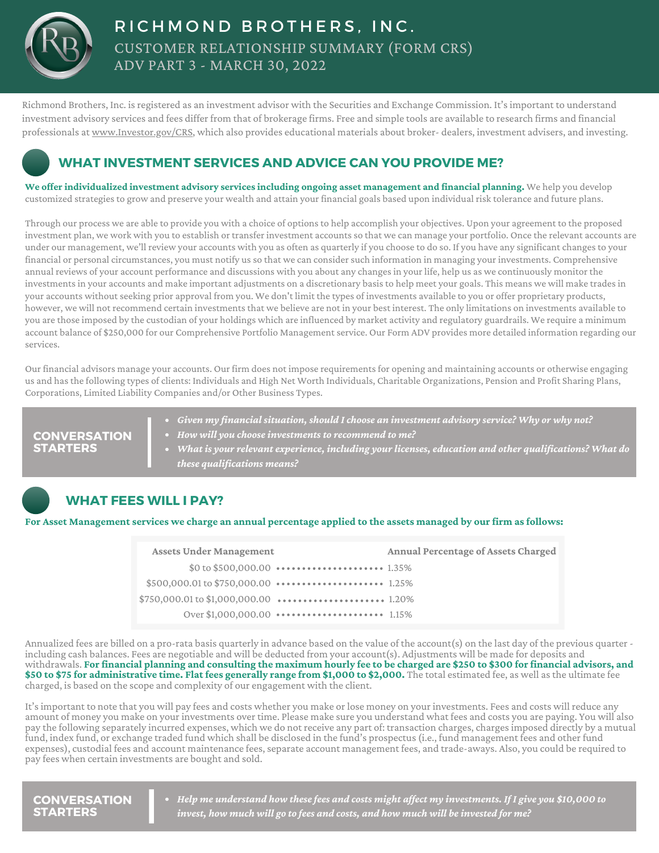

# CUSTOMER RELATIONSHIP SUMMARY (FORM CRS) ADV PART 3 - MARCH 30, 2022 RICHMOND BROTHERS, INC.

Richmond Brothers, Inc. isregistered as an investment advisor with the Securities and Exchange Commission. It'simportant to understand investment advisory services and fees differ from that of brokerage firms. Free and simple tools are available to research firms and financial professionals at [www.Investor.gov/CRS](http://www.investor.gov/CRS), which also provides educational materials about broker- dealers, investment advisers, and investing.

## **WHAT INVESTMENT SERVICES AND ADVICE CAN YOU PROVIDE ME?**

**We offer individualized investment advisory services including ongoing asset management and financial planning.** We help you develop customized strategiesto grow and preserve your wealth and attain your financial goals based upon individual risk tolerance and future plans.

Through our process we are able to provide you with a choice of optionsto help accomplish your objectives. Upon your agreement to the proposed investment plan, we work with you to establish or transfer investment accountsso that we can manage your portfolio. Once the relevant accounts are under our management, we'll review your accounts with you as often as quarterly if you choose to do so. If you have any significant changes to your financial or personal circumstances, you must notify usso that we can considersuch information in managing your investments. Comprehensive annual reviews of your account performance and discussions with you about any changesin your life, help us as we continuously monitor the investmentsin your accounts and make important adjustments on a discretionary basisto help meet your goals. This means we will make tradesin your accounts without seeking prior approval from you. We don't limit the types of investments available to you or offer proprietary products, however, we will not recommend certain investments that we believe are not in your best interest. The only limitations on investments available to you are those imposed by the custodian of your holdings which are influenced by market activity and regulatory guardrails. We require a minimum account balance of \$250,000 for our Comprehensive Portfolio Managementservice. Our Form ADV provides more detailed information regarding our services.

Our financial advisors manage your accounts. Our firm does not impose requirements for opening and maintaining accounts or otherwise engaging us and hasthe following types of clients: Individuals and High Net Worth Individuals, Charitable Organizations, Pension and Profit Sharing Plans, Corporations, Limited Liability Companies and/or Other Business Types.

*Given my financial situation, should Ichoose an investment advisory service? Why or why not? How will you choose investments to recommend to me? What is your relevant experience, including your licenses, education and other qualifications? What do these qualifications means?* **CONVERSATION STARTERS**

## **WHAT FEES WILL I PAY?**

#### For Asset Management services we charge an annual percentage applied to the assets managed by our firm as follows:

| <b>Assets Under Management</b> |                                                                                                                                          | <b>Annual Percentage of Assets Charged</b> |
|--------------------------------|------------------------------------------------------------------------------------------------------------------------------------------|--------------------------------------------|
|                                | \$0 to \$500,000.00 $\dots\dots\dots\dots\dots\dots\dots\dots$ 1.35%                                                                     |                                            |
|                                |                                                                                                                                          |                                            |
|                                |                                                                                                                                          |                                            |
|                                | Over \$1,000,000,00 $\cdot \cdot \cdot \cdot \cdot \cdot \cdot \cdot \cdot \cdot \cdot \cdot \cdot \cdot \cdot \cdot \cdot \cdot 1,15\%$ |                                            |

Annualized fees are billed on a pro-rata basis quarterly in advance based on the value of the account(s) on the last day of the previous quarter including cash balances. Fees are negotiable and will be deducted from your account(s). Adjustments will be made for deposits and withdrawals. For financial planning and consulting the maximum hourly fee to be charged are \$250 to \$300 for financial advisors, and \$50 to \$75 for administrative time. Flat fees generally range from \$1,000 to \$2,000. The total estimated fee, as well as the ultimate fee charged, is based on the scope and complexity of our engagement with the client.

It'simportant to note that you will pay fees and costs whether you make or lose money on your investments. Fees and costs will reduce any amount of money you make on your investments over time. Please make sure you understand what fees and costs you are paying. You will also pay the following separately incurred expenses, which we do not receive any part of: transaction charges, chargesimposed directly by a mutual fund, index fund, or exchange traded fund which shall be disclosed in the fund's prospectus(i.e., fund management fees and other fund expenses), custodial fees and account maintenance fees, separate account management fees, and trade-aways. Also, you could be required to pay fees when certain investments are bought and sold.

**CONVERSATION STARTERS**

*Help me understand how these fees and costs might affect my investments. If I give you \$10,000 to invest, how much will go to fees and costs, and how much will be invested for me?*